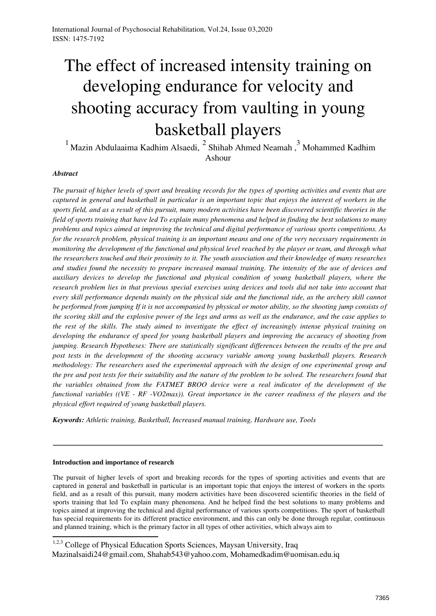# The effect of increased intensity training on developing endurance for velocity and shooting accuracy from vaulting in young basketball players

 $1$  Mazin Abdulaaima Kadhim Alsaedi,  $2$  Shihab Ahmed Neamah,  $3$  Mohammed Kadhim Ashour

# *Abstract*

*The pursuit of higher levels of sport and breaking records for the types of sporting activities and events that are captured in general and basketball in particular is an important topic that enjoys the interest of workers in the sports field, and as a result of this pursuit, many modern activities have been discovered scientific theories in the field of sports training that have led To explain many phenomena and helped in finding the best solutions to many problems and topics aimed at improving the technical and digital performance of various sports competitions. As for the research problem, physical training is an important means and one of the very necessary requirements in monitoring the development of the functional and physical level reached by the player or team, and through what the researchers touched and their proximity to it. The youth association and their knowledge of many researches and studies found the necessity to prepare increased manual training. The intensity of the use of devices and auxiliary devices to develop the functional and physical condition of young basketball players, where the research problem lies in that previous special exercises using devices and tools did not take into account that every skill performance depends mainly on the physical side and the functional side, as the archery skill cannot be performed from jumping If it is not accompanied by physical or motor ability, so the shooting jump consists of the scoring skill and the explosive power of the legs and arms as well as the endurance, and the case applies to the rest of the skills. The study aimed to investigate the effect of increasingly intense physical training on developing the endurance of speed for young basketball players and improving the accuracy of shooting from jumping. Research Hypotheses: There are statistically significant differences between the results of the pre and post tests in the development of the shooting accuracy variable among young basketball players. Research methodology: The researchers used the experimental approach with the design of one experimental group and the pre and post tests for their suitability and the nature of the problem to be solved. The researchers found that the variables obtained from the FATMET BROO device were a real indicator of the development of the functional variables ((VE - RF -VO2max)). Great importance in the career readiness of the players and the physical effort required of young basketball players.* 

*Keywords: Athletic training, Basketball, Increased manual training, Hardware use, Tools* 

## **Introduction and importance of research**

The pursuit of higher levels of sport and breaking records for the types of sporting activities and events that are captured in general and basketball in particular is an important topic that enjoys the interest of workers in the sports field, and as a result of this pursuit, many modern activities have been discovered scientific theories in the field of sports training that led To explain many phenomena. And he helped find the best solutions to many problems and topics aimed at improving the technical and digital performance of various sports competitions. The sport of basketball has special requirements for its different practice environment, and this can only be done through regular, continuous and planned training, which is the primary factor in all types of other activities, which always aim to

<sup>1,2,3</sup> College of Physical Education Sports Sciences, Maysan University, Iraq

[Mazinalsaidi24@gmail.com, Shahab543@yahoo.com,](mailto:Mazinalsaidi24@gmail.com) [Mohamedkadim@uomisan.edu.iq](mailto:Mohamedkadim@uomisan.edu.iq)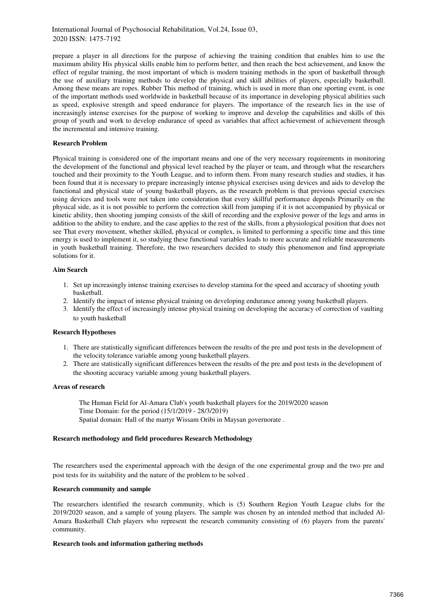prepare a player in all directions for the purpose of achieving the training condition that enables him to use the maximum ability His physical skills enable him to perform better, and then reach the best achievement, and know the effect of regular training, the most important of which is modern training methods in the sport of basketball through the use of auxiliary training methods to develop the physical and skill abilities of players, especially basketball. Among these means are ropes. Rubber This method of training, which is used in more than one sporting event, is one of the important methods used worldwide in basketball because of its importance in developing physical abilities such as speed, explosive strength and speed endurance for players. The importance of the research lies in the use of increasingly intense exercises for the purpose of working to improve and develop the capabilities and skills of this group of youth and work to develop endurance of speed as variables that affect achievement of achievement through the incremental and intensive training.

## **Research Problem**

Physical training is considered one of the important means and one of the very necessary requirements in monitoring the development of the functional and physical level reached by the player or team, and through what the researchers touched and their proximity to the Youth League, and to inform them. From many research studies and studies, it has been found that it is necessary to prepare increasingly intense physical exercises using devices and aids to develop the functional and physical state of young basketball players, as the research problem is that previous special exercises using devices and tools were not taken into consideration that every skillful performance depends Primarily on the physical side, as it is not possible to perform the correction skill from jumping if it is not accompanied by physical or kinetic ability, then shooting jumping consists of the skill of recording and the explosive power of the legs and arms in addition to the ability to endure, and the case applies to the rest of the skills, from a physiological position that does not see That every movement, whether skilled, physical or complex, is limited to performing a specific time and this time energy is used to implement it, so studying these functional variables leads to more accurate and reliable measurements in youth basketball training. Therefore, the two researchers decided to study this phenomenon and find appropriate solutions for it.

## **Aim Search**

- 1. Set up increasingly intense training exercises to develop stamina for the speed and accuracy of shooting youth basketball.
- 2. Identify the impact of intense physical training on developing endurance among young basketball players.
- 3. Identify the effect of increasingly intense physical training on developing the accuracy of correction of vaulting to youth basketball

#### **Research Hypotheses**

- 1. There are statistically significant differences between the results of the pre and post tests in the development of the velocity tolerance variable among young basketball players.
- 2. There are statistically significant differences between the results of the pre and post tests in the development of the shooting accuracy variable among young basketball players.

#### **Areas of research**

The Human Field for Al-Amara Club's youth basketball players for the 2019/2020 season Time Domain: for the period (15/1/2019 - 28/3/2019) Spatial domain: Hall of the martyr Wissam Oribi in Maysan governorate .

#### **Research methodology and field procedures Research Methodology**

The researchers used the experimental approach with the design of the one experimental group and the two pre and post tests for its suitability and the nature of the problem to be solved .

## **Research community and sample**

The researchers identified the research community, which is (5) Southern Region Youth League clubs for the 2019/2020 season, and a sample of young players. The sample was chosen by an intended method that included Al-Amara Basketball Club players who represent the research community consisting of (6) players from the parents' community.

#### **Research tools and information gathering methods**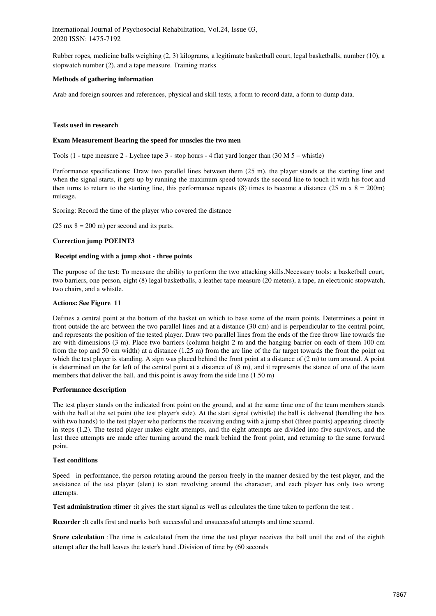Rubber ropes, medicine balls weighing (2, 3) kilograms, a legitimate basketball court, legal basketballs, number (10), a stopwatch number (2), and a tape measure. Training marks

## **Methods of gathering information**

Arab and foreign sources and references, physical and skill tests, a form to record data, a form to dump data.

#### **Tests used in research**

#### **Exam Measurement Bearing the speed for muscles the two men**

Tools (1 - tape measure 2 - Lychee tape 3 - stop hours - 4 flat yard longer than (30 M 5 – whistle)

Performance specifications: Draw two parallel lines between them (25 m), the player stands at the starting line and when the signal starts, it gets up by running the maximum speed towards the second line to touch it with his foot and then turns to return to the starting line, this performance repeats (8) times to become a distance (25 m x  $8 = 200$ m) mileage.

Scoring: Record the time of the player who covered the distance

 $(25 \text{ mx } 8 = 200 \text{ m})$  per second and its parts.

## **Correction jump POEINT3**

#### **Receipt ending with a jump shot - three points**

The purpose of the test: To measure the ability to perform the two attacking skills.Necessary tools: a basketball court, two barriers, one person, eight (8) legal basketballs, a leather tape measure (20 meters), a tape, an electronic stopwatch, two chairs, and a whistle.

#### **Actions: See Figure 11**

Defines a central point at the bottom of the basket on which to base some of the main points. Determines a point in front outside the arc between the two parallel lines and at a distance (30 cm) and is perpendicular to the central point, and represents the position of the tested player. Draw two parallel lines from the ends of the free throw line towards the arc with dimensions (3 m). Place two barriers (column height 2 m and the hanging barrier on each of them 100 cm from the top and 50 cm width) at a distance (1.25 m) from the arc line of the far target towards the front the point on which the test player is standing. A sign was placed behind the front point at a distance of  $(2 \text{ m})$  to turn around. A point is determined on the far left of the central point at a distance of (8 m), and it represents the stance of one of the team members that deliver the ball, and this point is away from the side line  $(1.50 \text{ m})$ 

#### **Performance description**

The test player stands on the indicated front point on the ground, and at the same time one of the team members stands with the ball at the set point (the test player's side). At the start signal (whistle) the ball is delivered (handling the box with two hands) to the test player who performs the receiving ending with a jump shot (three points) appearing directly in steps (1,2). The tested player makes eight attempts, and the eight attempts are divided into five survivors, and the last three attempts are made after turning around the mark behind the front point, and returning to the same forward point.

## **Test conditions**

Speed in performance, the person rotating around the person freely in the manner desired by the test player, and the assistance of the test player (alert) to start revolving around the character, and each player has only two wrong attempts.

**Test administration :timer :**it gives the start signal as well as calculates the time taken to perform the test .

**Recorder :**It calls first and marks both successful and unsuccessful attempts and time second.

**Score calculation** :The time is calculated from the time the test player receives the ball until the end of the eighth attempt after the ball leaves the tester's hand .Division of time by (60 seconds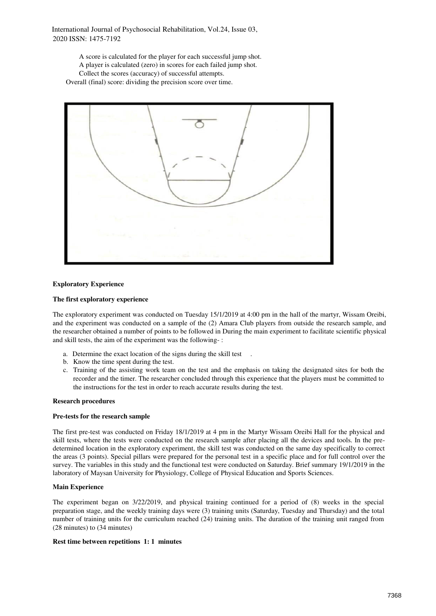A score is calculated for the player for each successful jump shot. A player is calculated (zero) in scores for each failed jump shot. Collect the scores (accuracy) of successful attempts. Overall (final) score: dividing the precision score over time.



## **Exploratory Experience**

## **The first exploratory experience**

The exploratory experiment was conducted on Tuesday 15/1/2019 at 4:00 pm in the hall of the martyr, Wissam Oreibi, and the experiment was conducted on a sample of the (2) Amara Club players from outside the research sample, and the researcher obtained a number of points to be followed in During the main experiment to facilitate scientific physical and skill tests, the aim of the experiment was the following- :

- a. Determine the exact location of the signs during the skill test
- b. Know the time spent during the test.
- c. Training of the assisting work team on the test and the emphasis on taking the designated sites for both the recorder and the timer. The researcher concluded through this experience that the players must be committed to the instructions for the test in order to reach accurate results during the test.

#### **Research procedures**

#### **Pre-tests for the research sample**

The first pre-test was conducted on Friday 18/1/2019 at 4 pm in the Martyr Wissam Oreibi Hall for the physical and skill tests, where the tests were conducted on the research sample after placing all the devices and tools. In the predetermined location in the exploratory experiment, the skill test was conducted on the same day specifically to correct the areas (3 points). Special pillars were prepared for the personal test in a specific place and for full control over the survey. The variables in this study and the functional test were conducted on Saturday. Brief summary 19/1/2019 in the laboratory of Maysan University for Physiology, College of Physical Education and Sports Sciences.

#### **Main Experience**

The experiment began on 3/22/2019, and physical training continued for a period of (8) weeks in the special preparation stage, and the weekly training days were (3) training units (Saturday, Tuesday and Thursday) and the total number of training units for the curriculum reached (24) training units. The duration of the training unit ranged from (28 minutes) to (34 minutes)

#### **Rest time between repetitions 1: 1 minutes**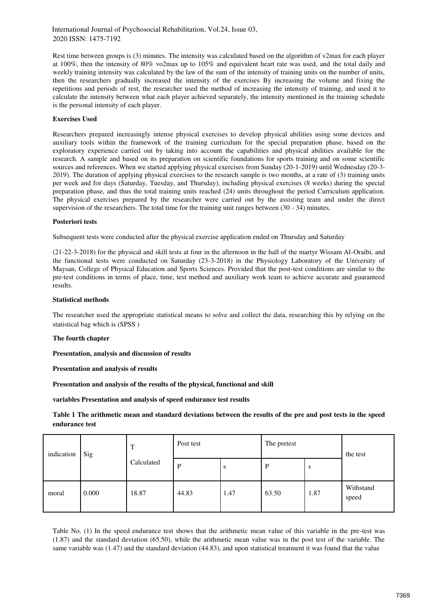Rest time between groups is (3) minutes. The intensity was calculated based on the algorithm of v2max for each player at 100%, then the intensity of 80% vo2max up to 105% and equivalent heart rate was used, and the total daily and weekly training intensity was calculated by the law of the sum of the intensity of training units on the number of units, then the researchers gradually increased the intensity of the exercises By increasing the volume and fixing the repetitions and periods of rest, the researcher used the method of increasing the intensity of training, and used it to calculate the intensity between what each player achieved separately, the intensity mentioned in the training schedule is the personal intensity of each player.

# **Exercises Used**

Researchers prepared increasingly intense physical exercises to develop physical abilities using some devices and auxiliary tools within the framework of the training curriculum for the special preparation phase, based on the exploratory experience carried out by taking into account the capabilities and physical abilities available for the research. A sample and based on its preparation on scientific foundations for sports training and on some scientific sources and references. When we started applying physical exercises from Sunday (20-1-2019) until Wednesday (20-3- 2019). The duration of applying physical exercises to the research sample is two months, at a rate of (3) training units per week and for days (Saturday, Tuesday, and Thursday), including physical exercises (8 weeks) during the special preparation phase, and thus the total training units reached (24) units throughout the period Curriculum application. The physical exercises prepared by the researcher were carried out by the assisting team and under the direct supervision of the researchers. The total time for the training unit ranges between (30 - 34) minutes.

## **Posteriori tests**

Subsequent tests were conducted after the physical exercise application ended on Thursday and Saturday

(21-22-3-2018) for the physical and skill tests at four in the afternoon in the hall of the martyr Wissam Al-Oraibi, and the functional tests were conducted on Saturday (23-3-2018) in the Physiology Laboratory of the University of Maysan, College of Physical Education and Sports Sciences. Provided that the post-test conditions are similar to the pre-test conditions in terms of place, time, test method and auxiliary work team to achieve accurate and guaranteed results.

# **Statistical methods**

The researcher used the appropriate statistical means to solve and collect the data, researching this by relying on the statistical bag which is (SPSS )

## **The fourth chapter**

**Presentation, analysis and discussion of results** 

**Presentation and analysis of results** 

**Presentation and analysis of the results of the physical, functional and skill** 

**variables Presentation and analysis of speed endurance test results** 

**Table 1 The arithmetic mean and standard deviations between the results of the pre and post tests in the speed endurance test** 

| indication | Sig   | T<br>Calculated | Post test |      | The pretest |      | the test           |
|------------|-------|-----------------|-----------|------|-------------|------|--------------------|
|            |       |                 | P         | S    | P           | S    |                    |
| moral      | 0.000 | 18.87           | 44.83     | 1.47 | 63.50       | 1.87 | Withstand<br>speed |

Table No. (1) In the speed endurance test shows that the arithmetic mean value of this variable in the pre-test was (1.87) and the standard deviation (65.50), while the arithmetic mean value was in the post test of the variable. The same variable was (1.47) and the standard deviation (44.83), and upon statistical treatment it was found that the value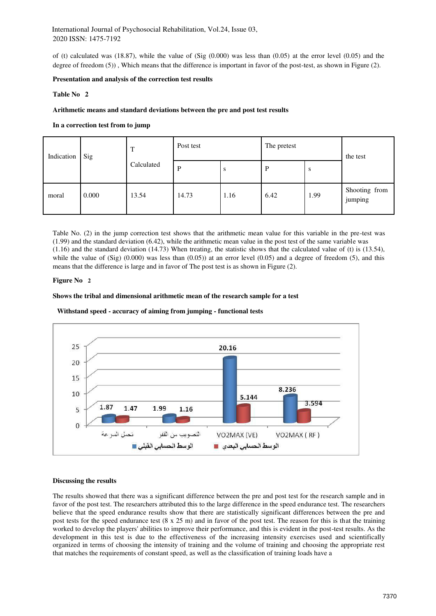of (t) calculated was (18.87), while the value of (Sig  $(0.000)$  was less than  $(0.05)$  at the error level  $(0.05)$  and the degree of freedom (5)), Which means that the difference is important in favor of the post-test, as shown in Figure (2).

## **Presentation and analysis of the correction test results**

## **Table No 2**

## **Arithmetic means and standard deviations between the pre and post test results**

# **In a correction test from to jump**

| Indication | Sig   | T<br>Calculated | Post test |      | The pretest |      | the test                 |
|------------|-------|-----------------|-----------|------|-------------|------|--------------------------|
|            |       |                 | P         | S    | P           | S    |                          |
| moral      | 0.000 | 13.54           | 14.73     | 1.16 | 6.42        | 1.99 | Shooting from<br>jumping |

Table No. (2) in the jump correction test shows that the arithmetic mean value for this variable in the pre-test was (1.99) and the standard deviation (6.42), while the arithmetic mean value in the post test of the same variable was (1.16) and the standard deviation (14.73) When treating, the statistic shows that the calculated value of (t) is (13.54), while the value of  $(Sig)$   $(0.000)$  was less than  $(0.05)$  at an error level  $(0.05)$  and a degree of freedom  $(5)$ , and this means that the difference is large and in favor of The post test is as shown in Figure (2).

#### **Figure No 2**

#### **Shows the tribal and dimensional arithmetic mean of the research sample for a test**

#### **Withstand speed - accuracy of aiming from jumping - functional tests**



#### **Discussing the results**

The results showed that there was a significant difference between the pre and post test for the research sample and in favor of the post test. The researchers attributed this to the large difference in the speed endurance test. The researchers believe that the speed endurance results show that there are statistically significant differences between the pre and post tests for the speed endurance test (8 x 25 m) and in favor of the post test. The reason for this is that the training worked to develop the players' abilities to improve their performance, and this is evident in the post-test results. As the development in this test is due to the effectiveness of the increasing intensity exercises used and scientifically organized in terms of choosing the intensity of training and the volume of training and choosing the appropriate rest that matches the requirements of constant speed, as well as the classification of training loads have a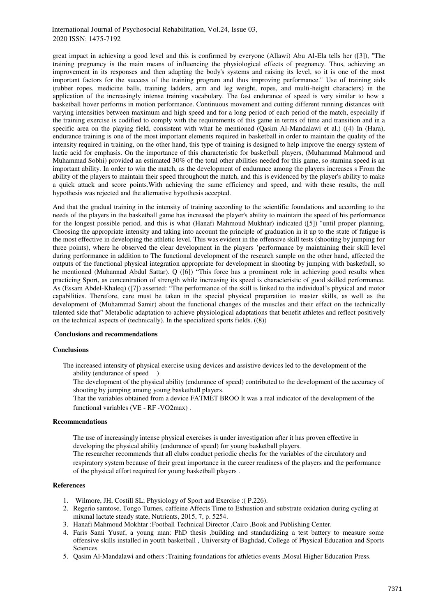great impact in achieving a good level and this is confirmed by everyone (Allawi) Abu Al-Ela tells her ([3]), "The training pregnancy is the main means of influencing the physiological effects of pregnancy. Thus, achieving an improvement in its responses and then adapting the body's systems and raising its level, so it is one of the most important factors for the success of the training program and thus improving performance." Use of training aids (rubber ropes, medicine balls, training ladders, arm and leg weight, ropes, and multi-height characters) in the application of the increasingly intense training vocabulary. The fast endurance of speed is very similar to how a basketball hover performs in motion performance. Continuous movement and cutting different running distances with varying intensities between maximum and high speed and for a long period of each period of the match, especially if the training exercise is codified to comply with the requirements of this game in terms of time and transition and in a specific area on the playing field, consistent with what he mentioned (Qasim Al-Mandalawi et al.) ((4) In (Hara), endurance training is one of the most important elements required in basketball in order to maintain the quality of the intensity required in training, on the other hand, this type of training is designed to help improve the energy system of lactic acid for emphasis. On the importance of this characteristic for basketball players, (Muhammad Mahmoud and Muhammad Sobhi) provided an estimated 30% of the total other abilities needed for this game, so stamina speed is an important ability. In order to win the match, as the development of endurance among the players increases s From the ability of the players to maintain their speed throughout the match, and this is evidenced by the player's ability to make a quick attack and score points.With achieving the same efficiency and speed, and with these results, the null hypothesis was rejected and the alternative hypothesis accepted.

And that the gradual training in the intensity of training according to the scientific foundations and according to the needs of the players in the basketball game has increased the player's ability to maintain the speed of his performance for the longest possible period, and this is what (Hanafi Mahmoud Mukhtar) indicated ([5]) "until proper planning, Choosing the appropriate intensity and taking into account the principle of graduation in it up to the state of fatigue is the most effective in developing the athletic level. This was evident in the offensive skill tests (shooting by jumping for three points), where he observed the clear development in the players 'performance by maintaining their skill level during performance in addition to The functional development of the research sample on the other hand, affected the outputs of the functional physical integration appropriate for development in shooting by jumping with basketball, so he mentioned (Muhannad Abdul Sattar). Q ([6]) "This force has a prominent role in achieving good results when practicing Sport, as concentration of strength while increasing its speed is characteristic of good skilled performance. As (Essam Abdel-Khaleq) ([7]) asserted: "The performance of the skill is linked to the individual's physical and motor capabilities. Therefore, care must be taken in the special physical preparation to master skills, as well as the development of (Muhammad Samir) about the functional changes of the muscles and their effect on the technically talented side that" Metabolic adaptation to achieve physiological adaptations that benefit athletes and reflect positively on the technical aspects of (technically). In the specialized sports fields. ((8))

#### **Conclusions and recommendations**

#### **Conclusions**

The increased intensity of physical exercise using devices and assistive devices led to the development of the ability (endurance of speed )

The development of the physical ability (endurance of speed) contributed to the development of the accuracy of shooting by jumping among young basketball players.

That the variables obtained from a device FATMET BROO It was a real indicator of the development of the functional variables (VE - RF -VO2max) .

#### **Recommendations**

The use of increasingly intense physical exercises is under investigation after it has proven effective in developing the physical ability (endurance of speed) for young basketball players.

The researcher recommends that all clubs conduct periodic checks for the variables of the circulatory and respiratory system because of their great importance in the career readiness of the players and the performance of the physical effort required for young basketball players .

# **References**

- 1. Wilmore, JH, Costill SL; Physiology of Sport and Exercise :( P.226).
- 2. Regerio samtose, Tongo Turnes, caffeine Affects Time to Exhustion and substrate oxidation during cycling at mixmal lactate steady state, Nutrients, 2015, 7, p. 5254.
- 3. Hanafi Mahmoud Mokhtar :Football Technical Director ,Cairo ,Book and Publishing Center.
- 4. Faris Sami Yusuf, a young man: PhD thesis ,building and standardizing a test battery to measure some offensive skills installed in youth basketball , University of Baghdad, College of Physical Education and Sports Sciences
- 5. Qasim Al-Mandalawi and others :Training foundations for athletics events ,Mosul Higher Education Press.